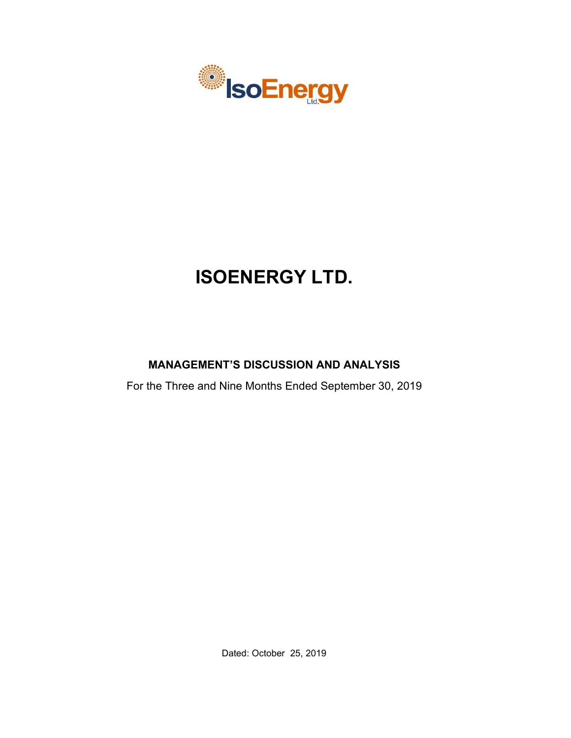

# **ISOENERGY LTD.**

# **MANAGEMENT'S DISCUSSION AND ANALYSIS**

For the Three and Nine Months Ended September 30, 2019

Dated: October 25, 2019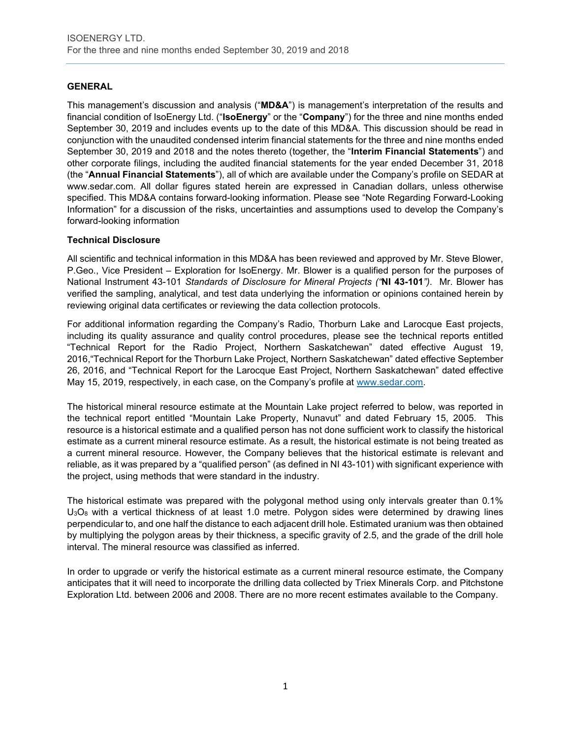# **GENERAL**

This management's discussion and analysis ("**MD&A**") is management's interpretation of the results and financial condition of IsoEnergy Ltd. ("**IsoEnergy**" or the "**Company**") for the three and nine months ended September 30, 2019 and includes events up to the date of this MD&A. This discussion should be read in conjunction with the unaudited condensed interim financial statements for the three and nine months ended September 30, 2019 and 2018 and the notes thereto (together, the "**Interim Financial Statements**") and other corporate filings, including the audited financial statements for the year ended December 31, 2018 (the "**Annual Financial Statements**"), all of which are available under the Company's profile on SEDAR at www.sedar.com. All dollar figures stated herein are expressed in Canadian dollars, unless otherwise specified. This MD&A contains forward-looking information. Please see "Note Regarding Forward-Looking Information" for a discussion of the risks, uncertainties and assumptions used to develop the Company's forward-looking information

# **Technical Disclosure**

All scientific and technical information in this MD&A has been reviewed and approved by Mr. Steve Blower, P.Geo., Vice President – Exploration for IsoEnergy. Mr. Blower is a qualified person for the purposes of National Instrument 43-101 *Standards of Disclosure for Mineral Projects ("***NI 43-101***")*. Mr. Blower has verified the sampling, analytical, and test data underlying the information or opinions contained herein by reviewing original data certificates or reviewing the data collection protocols.

For additional information regarding the Company's Radio, Thorburn Lake and Larocque East projects, including its quality assurance and quality control procedures, please see the technical reports entitled "Technical Report for the Radio Project, Northern Saskatchewan" dated effective August 19, 2016,"Technical Report for the Thorburn Lake Project, Northern Saskatchewan" dated effective September 26, 2016, and "Technical Report for the Larocque East Project, Northern Saskatchewan" dated effective May 15, 2019, respectively, in each case, on the Company's profile at [www.sedar.com.](http://www.sedar.com/)

The historical mineral resource estimate at the Mountain Lake project referred to below, was reported in the technical report entitled "Mountain Lake Property, Nunavut" and dated February 15, 2005. This resource is a historical estimate and a qualified person has not done sufficient work to classify the historical estimate as a current mineral resource estimate. As a result, the historical estimate is not being treated as a current mineral resource. However, the Company believes that the historical estimate is relevant and reliable, as it was prepared by a "qualified person" (as defined in NI 43-101) with significant experience with the project, using methods that were standard in the industry.

The historical estimate was prepared with the polygonal method using only intervals greater than 0.1%  $U_3O_8$  with a vertical thickness of at least 1.0 metre. Polygon sides were determined by drawing lines perpendicular to, and one half the distance to each adjacent drill hole. Estimated uranium was then obtained by multiplying the polygon areas by their thickness, a specific gravity of 2.5, and the grade of the drill hole interval. The mineral resource was classified as inferred.

In order to upgrade or verify the historical estimate as a current mineral resource estimate, the Company anticipates that it will need to incorporate the drilling data collected by Triex Minerals Corp. and Pitchstone Exploration Ltd. between 2006 and 2008. There are no more recent estimates available to the Company.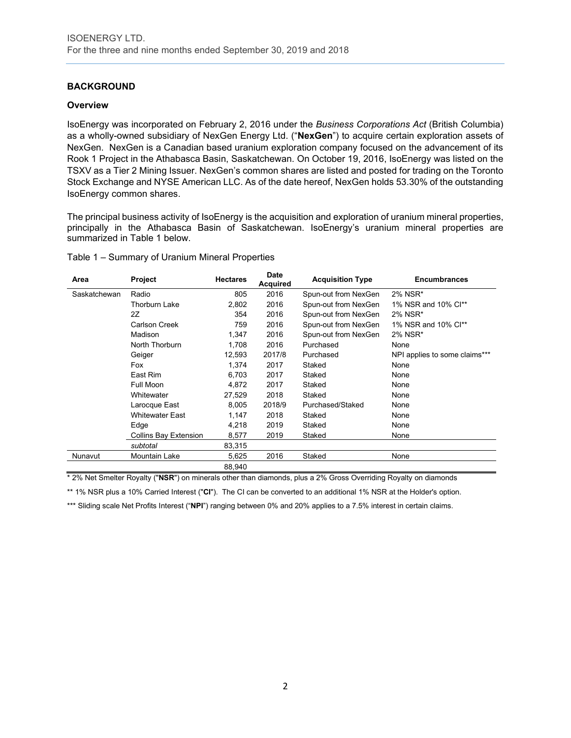# **BACKGROUND**

#### **Overview**

IsoEnergy was incorporated on February 2, 2016 under the *Business Corporations Act* (British Columbia) as a wholly-owned subsidiary of NexGen Energy Ltd. ("**NexGen**") to acquire certain exploration assets of NexGen. NexGen is a Canadian based uranium exploration company focused on the advancement of its Rook 1 Project in the Athabasca Basin, Saskatchewan. On October 19, 2016, IsoEnergy was listed on the TSXV as a Tier 2 Mining Issuer. NexGen's common shares are listed and posted for trading on the Toronto Stock Exchange and NYSE American LLC. As of the date hereof, NexGen holds 53.30% of the outstanding IsoEnergy common shares.

The principal business activity of IsoEnergy is the acquisition and exploration of uranium mineral properties, principally in the Athabasca Basin of Saskatchewan. IsoEnergy's uranium mineral properties are summarized in Table 1 below.

|  |  | Table 1 - Summary of Uranium Mineral Properties |  |  |  |
|--|--|-------------------------------------------------|--|--|--|
|--|--|-------------------------------------------------|--|--|--|

| Area         | <b>Project</b>               | <b>Hectares</b> | <b>Date</b><br><b>Acquired</b> | <b>Acquisition Type</b> | <b>Encumbrances</b>           |
|--------------|------------------------------|-----------------|--------------------------------|-------------------------|-------------------------------|
| Saskatchewan | Radio                        | 805             | 2016                           | Spun-out from NexGen    | 2% NSR*                       |
|              | Thorburn Lake                | 2,802           | 2016                           | Spun-out from NexGen    | 1% NSR and 10% Cl**           |
|              | 2Z                           | 354             | 2016                           | Spun-out from NexGen    | 2% NSR*                       |
|              | <b>Carlson Creek</b>         | 759             | 2016                           | Spun-out from NexGen    | 1% NSR and 10% Cl**           |
|              | Madison                      | 1,347           | 2016                           | Spun-out from NexGen    | 2% NSR*                       |
|              | North Thorburn               | 1,708           | 2016                           | Purchased               | None                          |
|              | Geiger                       | 12,593          | 2017/8                         | Purchased               | NPI applies to some claims*** |
|              | Fox                          | 1,374           | 2017                           | Staked                  | None                          |
|              | East Rim                     | 6,703           | 2017                           | Staked                  | None                          |
|              | Full Moon                    | 4,872           | 2017                           | Staked                  | None                          |
|              | Whitewater                   | 27,529          | 2018                           | Staked                  | None                          |
|              | Larocque East                | 8,005           | 2018/9                         | Purchased/Staked        | None                          |
|              | <b>Whitewater East</b>       | 1,147           | 2018                           | Staked                  | None                          |
|              | Edge                         | 4,218           | 2019                           | Staked                  | None                          |
|              | <b>Collins Bay Extension</b> | 8,577           | 2019                           | Staked                  | None                          |
|              | subtotal                     | 83,315          |                                |                         |                               |
| Nunavut      | Mountain Lake                | 5,625           | 2016                           | Staked                  | None                          |
|              |                              | 88,940          |                                |                         |                               |

\* 2% Net Smelter Royalty ("**NSR**") on minerals other than diamonds, plus a 2% Gross Overriding Royalty on diamonds

\*\* 1% NSR plus a 10% Carried Interest ("**CI**"). The CI can be converted to an additional 1% NSR at the Holder's option.

\*\*\* Sliding scale Net Profits Interest ("NPI") ranging between 0% and 20% applies to a 7.5% interest in certain claims.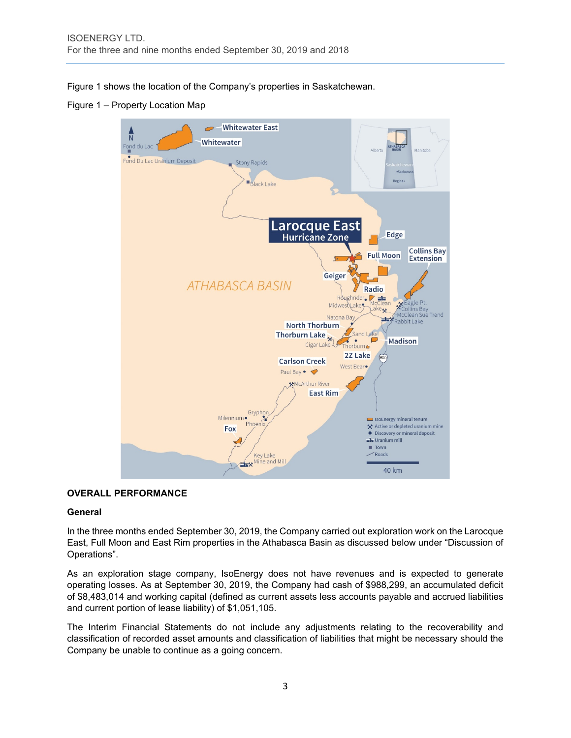Figure 1 shows the location of the Company's properties in Saskatchewan.

Figure 1 – Property Location Map



# **OVERALL PERFORMANCE**

# **General**

In the three months ended September 30, 2019, the Company carried out exploration work on the Larocque East, Full Moon and East Rim properties in the Athabasca Basin as discussed below under "Discussion of Operations".

As an exploration stage company, IsoEnergy does not have revenues and is expected to generate operating losses. As at September 30, 2019, the Company had cash of \$988,299, an accumulated deficit of \$8,483,014 and working capital (defined as current assets less accounts payable and accrued liabilities and current portion of lease liability) of \$1,051,105.

The Interim Financial Statements do not include any adjustments relating to the recoverability and classification of recorded asset amounts and classification of liabilities that might be necessary should the Company be unable to continue as a going concern.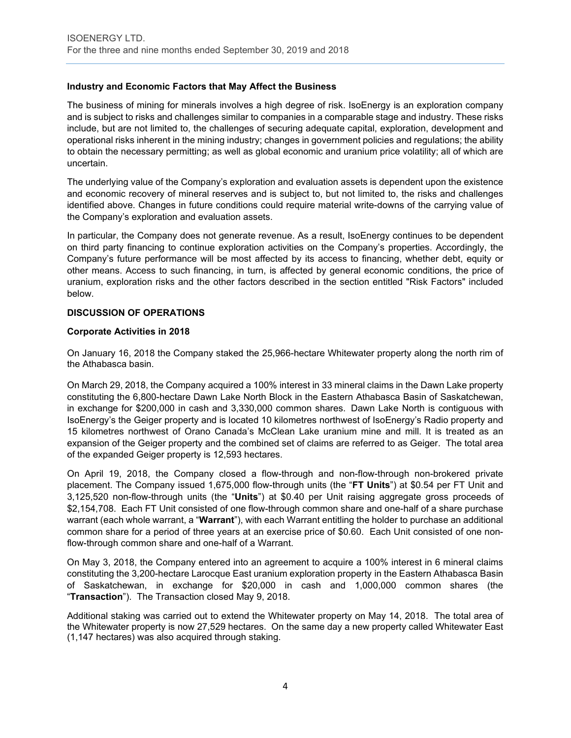# **Industry and Economic Factors that May Affect the Business**

The business of mining for minerals involves a high degree of risk. IsoEnergy is an exploration company and is subject to risks and challenges similar to companies in a comparable stage and industry. These risks include, but are not limited to, the challenges of securing adequate capital, exploration, development and operational risks inherent in the mining industry; changes in government policies and regulations; the ability to obtain the necessary permitting; as well as global economic and uranium price volatility; all of which are uncertain.

The underlying value of the Company's exploration and evaluation assets is dependent upon the existence and economic recovery of mineral reserves and is subject to, but not limited to, the risks and challenges identified above. Changes in future conditions could require material write-downs of the carrying value of the Company's exploration and evaluation assets.

In particular, the Company does not generate revenue. As a result, IsoEnergy continues to be dependent on third party financing to continue exploration activities on the Company's properties. Accordingly, the Company's future performance will be most affected by its access to financing, whether debt, equity or other means. Access to such financing, in turn, is affected by general economic conditions, the price of uranium, exploration risks and the other factors described in the section entitled "Risk Factors" included below.

# **DISCUSSION OF OPERATIONS**

# **Corporate Activities in 2018**

On January 16, 2018 the Company staked the 25,966-hectare Whitewater property along the north rim of the Athabasca basin.

On March 29, 2018, the Company acquired a 100% interest in 33 mineral claims in the Dawn Lake property constituting the 6,800-hectare Dawn Lake North Block in the Eastern Athabasca Basin of Saskatchewan, in exchange for \$200,000 in cash and 3,330,000 common shares. Dawn Lake North is contiguous with IsoEnergy's the Geiger property and is located 10 kilometres northwest of IsoEnergy's Radio property and 15 kilometres northwest of Orano Canada's McClean Lake uranium mine and mill. It is treated as an expansion of the Geiger property and the combined set of claims are referred to as Geiger. The total area of the expanded Geiger property is 12,593 hectares.

On April 19, 2018, the Company closed a flow-through and non-flow-through non-brokered private placement. The Company issued 1,675,000 flow-through units (the "**FT Units**") at \$0.54 per FT Unit and 3,125,520 non-flow-through units (the "**Units**") at \$0.40 per Unit raising aggregate gross proceeds of \$2,154,708. Each FT Unit consisted of one flow-through common share and one-half of a share purchase warrant (each whole warrant, a "**Warrant**"), with each Warrant entitling the holder to purchase an additional common share for a period of three years at an exercise price of \$0.60. Each Unit consisted of one nonflow-through common share and one-half of a Warrant.

On May 3, 2018, the Company entered into an agreement to acquire a 100% interest in 6 mineral claims constituting the 3,200-hectare Larocque East uranium exploration property in the Eastern Athabasca Basin of Saskatchewan, in exchange for \$20,000 in cash and 1,000,000 common shares (the "**Transaction**"). The Transaction closed May 9, 2018.

Additional staking was carried out to extend the Whitewater property on May 14, 2018. The total area of the Whitewater property is now 27,529 hectares. On the same day a new property called Whitewater East (1,147 hectares) was also acquired through staking.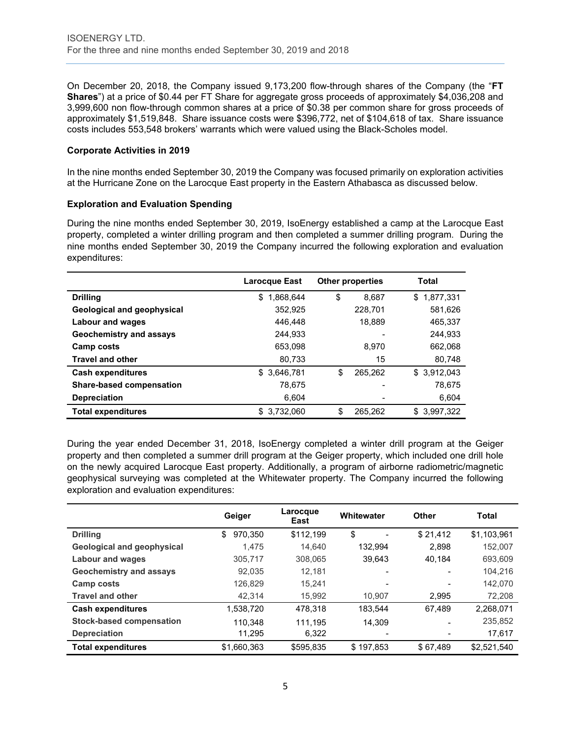On December 20, 2018, the Company issued 9,173,200 flow-through shares of the Company (the "**FT Shares**") at a price of \$0.44 per FT Share for aggregate gross proceeds of approximately \$4,036,208 and 3,999,600 non flow-through common shares at a price of \$0.38 per common share for gross proceeds of approximately \$1,519,848. Share issuance costs were \$396,772, net of \$104,618 of tax. Share issuance costs includes 553,548 brokers' warrants which were valued using the Black-Scholes model.

# **Corporate Activities in 2019**

In the nine months ended September 30, 2019 the Company was focused primarily on exploration activities at the Hurricane Zone on the Larocque East property in the Eastern Athabasca as discussed below.

# **Exploration and Evaluation Spending**

During the nine months ended September 30, 2019, IsoEnergy established a camp at the Larocque East property, completed a winter drilling program and then completed a summer drilling program. During the nine months ended September 30, 2019 the Company incurred the following exploration and evaluation expenditures:

|                                   | Larocque East   | <b>Other properties</b> | Total           |
|-----------------------------------|-----------------|-------------------------|-----------------|
| <b>Drilling</b>                   | \$<br>1.868.644 | \$<br>8.687             | 1,877,331<br>\$ |
| <b>Geological and geophysical</b> | 352,925         | 228,701                 | 581,626         |
| Labour and wages                  | 446.448         | 18,889                  | 465,337         |
| Geochemistry and assays           | 244.933         |                         | 244.933         |
| Camp costs                        | 653.098         | 8.970                   | 662,068         |
| <b>Travel and other</b>           | 80,733          |                         | 15<br>80,748    |
| <b>Cash expenditures</b>          | 3.646.781<br>\$ | \$<br>265.262           | \$3.912.043     |
| Share-based compensation          | 78.675          |                         | 78,675          |
| <b>Depreciation</b>               | 6.604           |                         | 6,604           |
| <b>Total expenditures</b>         | 3,732,060<br>\$ | \$<br>265,262           | 3,997,322<br>S  |

During the year ended December 31, 2018, IsoEnergy completed a winter drill program at the Geiger property and then completed a summer drill program at the Geiger property, which included one drill hole on the newly acquired Larocque East property. Additionally, a program of airborne radiometric/magnetic geophysical surveying was completed at the Whitewater property. The Company incurred the following exploration and evaluation expenditures:

|                                   | Geiger        | Larocque<br>East | Whitewater               | <b>Other</b>             | <b>Total</b> |
|-----------------------------------|---------------|------------------|--------------------------|--------------------------|--------------|
| <b>Drilling</b>                   | 970,350<br>\$ | \$112,199        | \$                       | \$21,412                 | \$1,103,961  |
| <b>Geological and geophysical</b> | 1.475         | 14.640           | 132.994                  | 2.898                    | 152,007      |
| <b>Labour and wages</b>           | 305,717       | 308.065          | 39.643                   | 40,184                   | 693,609      |
| <b>Geochemistry and assays</b>    | 92,035        | 12.181           | $\overline{\phantom{0}}$ | $\overline{\phantom{0}}$ | 104.216      |
| Camp costs                        | 126,829       | 15.241           | $\overline{\phantom{0}}$ | $\overline{\phantom{0}}$ | 142,070      |
| <b>Travel and other</b>           | 42.314        | 15.992           | 10.907                   | 2.995                    | 72,208       |
| <b>Cash expenditures</b>          | 1,538,720     | 478,318          | 183.544                  | 67.489                   | 2,268,071    |
| <b>Stock-based compensation</b>   | 110,348       | 111.195          | 14.309                   |                          | 235,852      |
| <b>Depreciation</b>               | 11.295        | 6,322            | $\overline{\phantom{0}}$ |                          | 17,617       |
| <b>Total expenditures</b>         | \$1,660,363   | \$595,835        | \$197,853                | \$67,489                 | \$2,521,540  |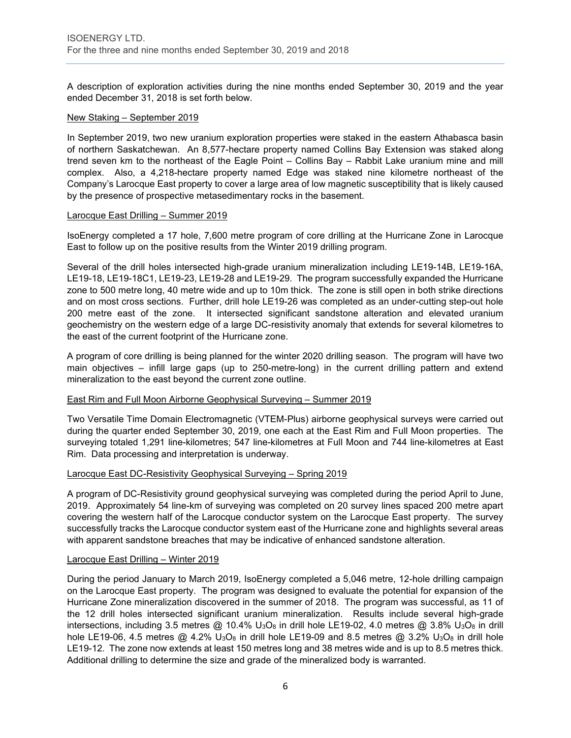A description of exploration activities during the nine months ended September 30, 2019 and the year ended December 31, 2018 is set forth below.

#### New Staking – September 2019

In September 2019, two new uranium exploration properties were staked in the eastern Athabasca basin of northern Saskatchewan. An 8,577-hectare property named Collins Bay Extension was staked along trend seven km to the northeast of the Eagle Point – Collins Bay – Rabbit Lake uranium mine and mill complex. Also, a 4,218-hectare property named Edge was staked nine kilometre northeast of the Company's Larocque East property to cover a large area of low magnetic susceptibility that is likely caused by the presence of prospective metasedimentary rocks in the basement.

#### Larocque East Drilling – Summer 2019

IsoEnergy completed a 17 hole, 7,600 metre program of core drilling at the Hurricane Zone in Larocque East to follow up on the positive results from the Winter 2019 drilling program.

Several of the drill holes intersected high-grade uranium mineralization including LE19-14B, LE19-16A, LE19-18, LE19-18C1, LE19-23, LE19-28 and LE19-29. The program successfully expanded the Hurricane zone to 500 metre long, 40 metre wide and up to 10m thick. The zone is still open in both strike directions and on most cross sections. Further, drill hole LE19-26 was completed as an under-cutting step-out hole 200 metre east of the zone. It intersected significant sandstone alteration and elevated uranium geochemistry on the western edge of a large DC-resistivity anomaly that extends for several kilometres to the east of the current footprint of the Hurricane zone.

A program of core drilling is being planned for the winter 2020 drilling season. The program will have two main objectives – infill large gaps (up to 250-metre-long) in the current drilling pattern and extend mineralization to the east beyond the current zone outline.

#### East Rim and Full Moon Airborne Geophysical Surveying – Summer 2019

Two Versatile Time Domain Electromagnetic (VTEM-Plus) airborne geophysical surveys were carried out during the quarter ended September 30, 2019, one each at the East Rim and Full Moon properties. The surveying totaled 1,291 line-kilometres; 547 line-kilometres at Full Moon and 744 line-kilometres at East Rim. Data processing and interpretation is underway.

#### Larocque East DC-Resistivity Geophysical Surveying – Spring 2019

A program of DC-Resistivity ground geophysical surveying was completed during the period April to June, 2019. Approximately 54 line-km of surveying was completed on 20 survey lines spaced 200 metre apart covering the western half of the Larocque conductor system on the Larocque East property. The survey successfully tracks the Larocque conductor system east of the Hurricane zone and highlights several areas with apparent sandstone breaches that may be indicative of enhanced sandstone alteration.

#### Larocque East Drilling – Winter 2019

During the period January to March 2019, IsoEnergy completed a 5,046 metre, 12-hole drilling campaign on the Larocque East property. The program was designed to evaluate the potential for expansion of the Hurricane Zone mineralization discovered in the summer of 2018. The program was successful, as 11 of the 12 drill holes intersected significant uranium mineralization. Results include several high-grade intersections, including 3.5 metres @ 10.4% U<sub>3</sub>O<sub>8</sub> in drill hole LE19-02, 4.0 metres @ 3.8% U<sub>3</sub>O<sub>8</sub> in drill hole LE19-06, 4.5 metres  $@$  4.2% U<sub>3</sub>O<sub>8</sub> in drill hole LE19-09 and 8.5 metres  $@$  3.2% U<sub>3</sub>O<sub>8</sub> in drill hole LE19-12. The zone now extends at least 150 metres long and 38 metres wide and is up to 8.5 metres thick. Additional drilling to determine the size and grade of the mineralized body is warranted.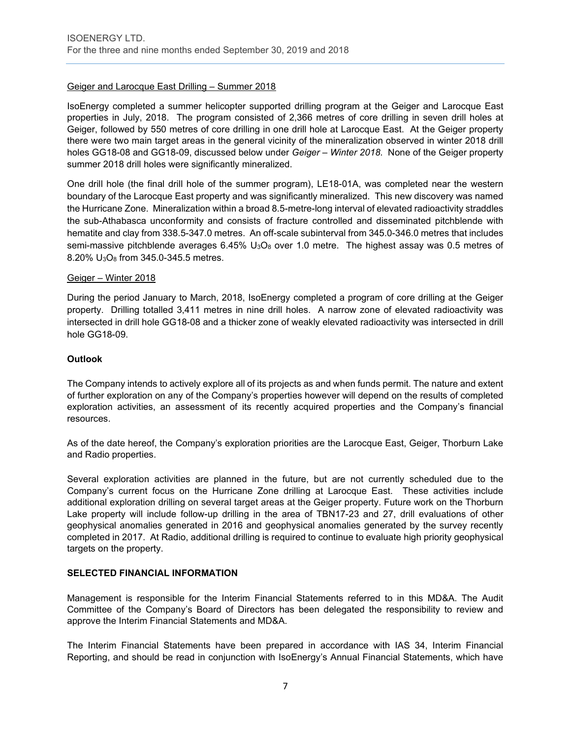# Geiger and Larocque East Drilling – Summer 2018

IsoEnergy completed a summer helicopter supported drilling program at the Geiger and Larocque East properties in July, 2018. The program consisted of 2,366 metres of core drilling in seven drill holes at Geiger, followed by 550 metres of core drilling in one drill hole at Larocque East. At the Geiger property there were two main target areas in the general vicinity of the mineralization observed in winter 2018 drill holes GG18-08 and GG18-09, discussed below under *Geiger – Winter 2018*. None of the Geiger property summer 2018 drill holes were significantly mineralized.

One drill hole (the final drill hole of the summer program), LE18-01A, was completed near the western boundary of the Larocque East property and was significantly mineralized. This new discovery was named the Hurricane Zone. Mineralization within a broad 8.5-metre-long interval of elevated radioactivity straddles the sub-Athabasca unconformity and consists of fracture controlled and disseminated pitchblende with hematite and clay from 338.5-347.0 metres. An off-scale subinterval from 345.0-346.0 metres that includes semi-massive pitchblende averages  $6.45\%$  U<sub>3</sub>O<sub>8</sub> over 1.0 metre. The highest assay was 0.5 metres of 8.20% U3O8 from 345.0-345.5 metres.

#### Geiger – Winter 2018

During the period January to March, 2018, IsoEnergy completed a program of core drilling at the Geiger property. Drilling totalled 3,411 metres in nine drill holes. A narrow zone of elevated radioactivity was intersected in drill hole GG18-08 and a thicker zone of weakly elevated radioactivity was intersected in drill hole GG18-09.

# **Outlook**

The Company intends to actively explore all of its projects as and when funds permit. The nature and extent of further exploration on any of the Company's properties however will depend on the results of completed exploration activities, an assessment of its recently acquired properties and the Company's financial resources.

As of the date hereof, the Company's exploration priorities are the Larocque East, Geiger, Thorburn Lake and Radio properties.

Several exploration activities are planned in the future, but are not currently scheduled due to the Company's current focus on the Hurricane Zone drilling at Larocque East. These activities include additional exploration drilling on several target areas at the Geiger property. Future work on the Thorburn Lake property will include follow-up drilling in the area of TBN17-23 and 27, drill evaluations of other geophysical anomalies generated in 2016 and geophysical anomalies generated by the survey recently completed in 2017. At Radio, additional drilling is required to continue to evaluate high priority geophysical targets on the property.

#### **SELECTED FINANCIAL INFORMATION**

Management is responsible for the Interim Financial Statements referred to in this MD&A. The Audit Committee of the Company's Board of Directors has been delegated the responsibility to review and approve the Interim Financial Statements and MD&A.

The Interim Financial Statements have been prepared in accordance with IAS 34, Interim Financial Reporting, and should be read in conjunction with IsoEnergy's Annual Financial Statements, which have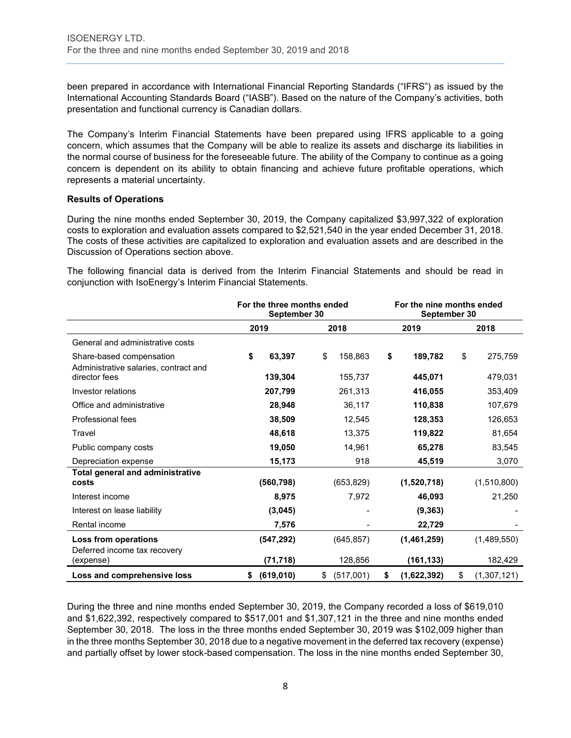been prepared in accordance with International Financial Reporting Standards ("IFRS") as issued by the International Accounting Standards Board ("IASB"). Based on the nature of the Company's activities, both presentation and functional currency is Canadian dollars.

The Company's Interim Financial Statements have been prepared using IFRS applicable to a going concern, which assumes that the Company will be able to realize its assets and discharge its liabilities in the normal course of business for the foreseeable future. The ability of the Company to continue as a going concern is dependent on its ability to obtain financing and achieve future profitable operations, which represents a material uncertainty.

# **Results of Operations**

During the nine months ended September 30, 2019, the Company capitalized \$3,997,322 of exploration costs to exploration and evaluation assets compared to \$2,521,540 in the year ended December 31, 2018. The costs of these activities are capitalized to exploration and evaluation assets and are described in the Discussion of Operations section above.

The following financial data is derived from the Interim Financial Statements and should be read in conjunction with IsoEnergy's Interim Financial Statements.

|                                                        | For the three months ended<br>September 30 |                 | For the nine months ended<br>September 30 |                   |
|--------------------------------------------------------|--------------------------------------------|-----------------|-------------------------------------------|-------------------|
|                                                        | 2019                                       | 2018            | 2019                                      | 2018              |
| General and administrative costs                       |                                            |                 |                                           |                   |
| Share-based compensation                               | \$<br>63.397                               | \$<br>158,863   | \$<br>189,782                             | \$<br>275,759     |
| Administrative salaries, contract and<br>director fees | 139,304                                    | 155,737         | 445.071                                   | 479,031           |
| Investor relations                                     | 207,799                                    | 261,313         | 416,055                                   | 353,409           |
| Office and administrative                              | 28,948                                     | 36,117          | 110,838                                   | 107,679           |
| Professional fees                                      | 38,509                                     | 12,545          | 128,353                                   | 126,653           |
| Travel                                                 | 48,618                                     | 13,375          | 119,822                                   | 81,654            |
| Public company costs                                   | 19,050                                     | 14,961          | 65,278                                    | 83,545            |
| Depreciation expense                                   | 15,173                                     | 918             | 45,519                                    | 3,070             |
| <b>Total general and administrative</b><br>costs       | (560, 798)                                 | (653, 829)      | (1,520,718)                               | (1,510,800)       |
| Interest income                                        | 8,975                                      | 7,972           | 46,093                                    | 21,250            |
| Interest on lease liability                            | (3,045)                                    |                 | (9, 363)                                  |                   |
| Rental income                                          | 7,576                                      |                 | 22,729                                    |                   |
| Loss from operations<br>Deferred income tax recovery   | (547, 292)                                 | (645, 857)      | (1,461,259)                               | (1,489,550)       |
| (expense)                                              | (71, 718)                                  | 128,856         | (161, 133)                                | 182,429           |
| Loss and comprehensive loss                            | (619, 010)<br>\$                           | (517,001)<br>\$ | \$<br>(1,622,392)                         | \$<br>(1,307,121) |

During the three and nine months ended September 30, 2019, the Company recorded a loss of \$619,010 and \$1,622,392, respectively compared to \$517,001 and \$1,307,121 in the three and nine months ended September 30, 2018. The loss in the three months ended September 30, 2019 was \$102,009 higher than in the three months September 30, 2018 due to a negative movement in the deferred tax recovery (expense) and partially offset by lower stock-based compensation. The loss in the nine months ended September 30,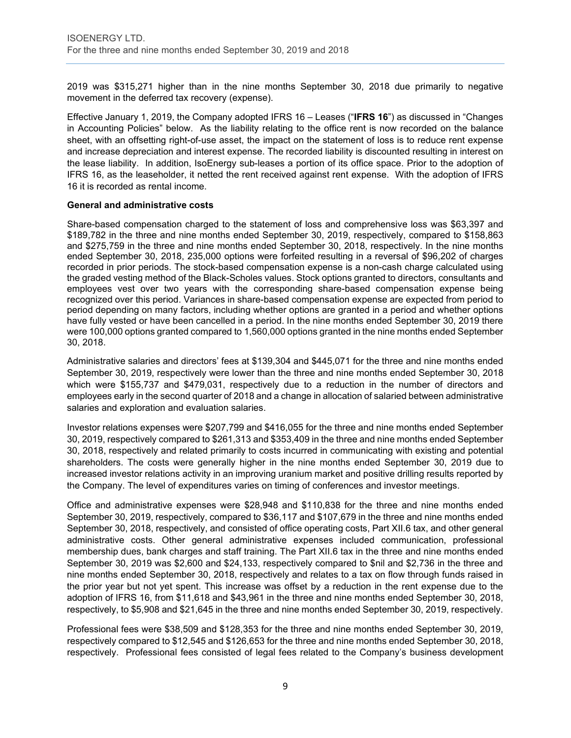2019 was \$315,271 higher than in the nine months September 30, 2018 due primarily to negative movement in the deferred tax recovery (expense).

Effective January 1, 2019, the Company adopted IFRS 16 – Leases ("**IFRS 16**") as discussed in "Changes in Accounting Policies" below. As the liability relating to the office rent is now recorded on the balance sheet, with an offsetting right-of-use asset, the impact on the statement of loss is to reduce rent expense and increase depreciation and interest expense. The recorded liability is discounted resulting in interest on the lease liability. In addition, IsoEnergy sub-leases a portion of its office space. Prior to the adoption of IFRS 16, as the leaseholder, it netted the rent received against rent expense. With the adoption of IFRS 16 it is recorded as rental income.

# **General and administrative costs**

Share-based compensation charged to the statement of loss and comprehensive loss was \$63,397 and \$189,782 in the three and nine months ended September 30, 2019, respectively, compared to \$158,863 and \$275,759 in the three and nine months ended September 30, 2018, respectively. In the nine months ended September 30, 2018, 235,000 options were forfeited resulting in a reversal of \$96,202 of charges recorded in prior periods. The stock-based compensation expense is a non-cash charge calculated using the graded vesting method of the Black-Scholes values. Stock options granted to directors, consultants and employees vest over two years with the corresponding share-based compensation expense being recognized over this period. Variances in share-based compensation expense are expected from period to period depending on many factors, including whether options are granted in a period and whether options have fully vested or have been cancelled in a period. In the nine months ended September 30, 2019 there were 100,000 options granted compared to 1,560,000 options granted in the nine months ended September 30, 2018.

Administrative salaries and directors' fees at \$139,304 and \$445,071 for the three and nine months ended September 30, 2019, respectively were lower than the three and nine months ended September 30, 2018 which were \$155,737 and \$479,031, respectively due to a reduction in the number of directors and employees early in the second quarter of 2018 and a change in allocation of salaried between administrative salaries and exploration and evaluation salaries.

Investor relations expenses were \$207,799 and \$416,055 for the three and nine months ended September 30, 2019, respectively compared to \$261,313 and \$353,409 in the three and nine months ended September 30, 2018, respectively and related primarily to costs incurred in communicating with existing and potential shareholders. The costs were generally higher in the nine months ended September 30, 2019 due to increased investor relations activity in an improving uranium market and positive drilling results reported by the Company. The level of expenditures varies on timing of conferences and investor meetings.

Office and administrative expenses were \$28,948 and \$110,838 for the three and nine months ended September 30, 2019, respectively, compared to \$36,117 and \$107,679 in the three and nine months ended September 30, 2018, respectively, and consisted of office operating costs, Part XII.6 tax, and other general administrative costs. Other general administrative expenses included communication, professional membership dues, bank charges and staff training. The Part XII.6 tax in the three and nine months ended September 30, 2019 was \$2,600 and \$24,133, respectively compared to \$nil and \$2,736 in the three and nine months ended September 30, 2018, respectively and relates to a tax on flow through funds raised in the prior year but not yet spent. This increase was offset by a reduction in the rent expense due to the adoption of IFRS 16, from \$11,618 and \$43,961 in the three and nine months ended September 30, 2018, respectively, to \$5,908 and \$21,645 in the three and nine months ended September 30, 2019, respectively.

Professional fees were \$38,509 and \$128,353 for the three and nine months ended September 30, 2019, respectively compared to \$12,545 and \$126,653 for the three and nine months ended September 30, 2018, respectively. Professional fees consisted of legal fees related to the Company's business development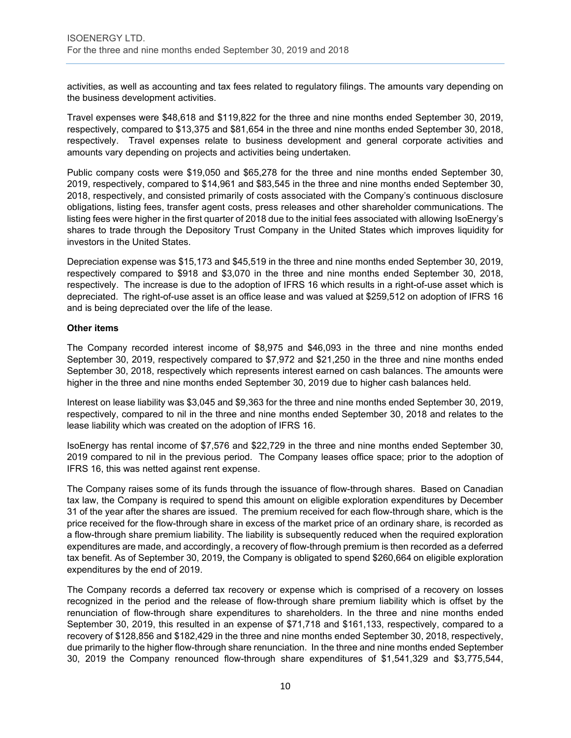activities, as well as accounting and tax fees related to regulatory filings. The amounts vary depending on the business development activities.

Travel expenses were \$48,618 and \$119,822 for the three and nine months ended September 30, 2019, respectively, compared to \$13,375 and \$81,654 in the three and nine months ended September 30, 2018, respectively. Travel expenses relate to business development and general corporate activities and amounts vary depending on projects and activities being undertaken.

Public company costs were \$19,050 and \$65,278 for the three and nine months ended September 30, 2019, respectively, compared to \$14,961 and \$83,545 in the three and nine months ended September 30, 2018, respectively, and consisted primarily of costs associated with the Company's continuous disclosure obligations, listing fees, transfer agent costs, press releases and other shareholder communications. The listing fees were higher in the first quarter of 2018 due to the initial fees associated with allowing IsoEnergy's shares to trade through the Depository Trust Company in the United States which improves liquidity for investors in the United States.

Depreciation expense was \$15,173 and \$45,519 in the three and nine months ended September 30, 2019, respectively compared to \$918 and \$3,070 in the three and nine months ended September 30, 2018, respectively. The increase is due to the adoption of IFRS 16 which results in a right-of-use asset which is depreciated. The right-of-use asset is an office lease and was valued at \$259,512 on adoption of IFRS 16 and is being depreciated over the life of the lease.

# **Other items**

The Company recorded interest income of \$8,975 and \$46,093 in the three and nine months ended September 30, 2019, respectively compared to \$7,972 and \$21,250 in the three and nine months ended September 30, 2018, respectively which represents interest earned on cash balances. The amounts were higher in the three and nine months ended September 30, 2019 due to higher cash balances held.

Interest on lease liability was \$3,045 and \$9,363 for the three and nine months ended September 30, 2019, respectively, compared to nil in the three and nine months ended September 30, 2018 and relates to the lease liability which was created on the adoption of IFRS 16.

IsoEnergy has rental income of \$7,576 and \$22,729 in the three and nine months ended September 30, 2019 compared to nil in the previous period. The Company leases office space; prior to the adoption of IFRS 16, this was netted against rent expense.

The Company raises some of its funds through the issuance of flow-through shares. Based on Canadian tax law, the Company is required to spend this amount on eligible exploration expenditures by December 31 of the year after the shares are issued. The premium received for each flow-through share, which is the price received for the flow-through share in excess of the market price of an ordinary share, is recorded as a flow-through share premium liability. The liability is subsequently reduced when the required exploration expenditures are made, and accordingly, a recovery of flow-through premium is then recorded as a deferred tax benefit. As of September 30, 2019, the Company is obligated to spend \$260,664 on eligible exploration expenditures by the end of 2019.

The Company records a deferred tax recovery or expense which is comprised of a recovery on losses recognized in the period and the release of flow-through share premium liability which is offset by the renunciation of flow-through share expenditures to shareholders. In the three and nine months ended September 30, 2019, this resulted in an expense of \$71,718 and \$161,133, respectively, compared to a recovery of \$128,856 and \$182,429 in the three and nine months ended September 30, 2018, respectively, due primarily to the higher flow-through share renunciation. In the three and nine months ended September 30, 2019 the Company renounced flow-through share expenditures of \$1,541,329 and \$3,775,544,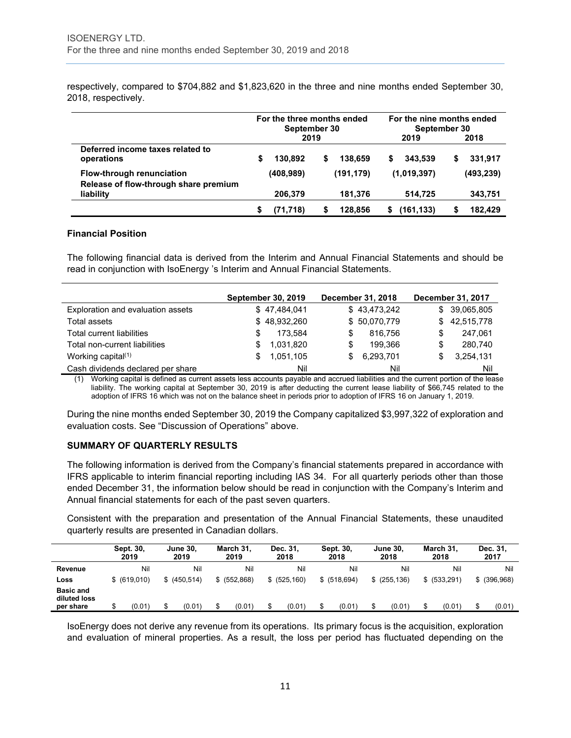respectively, compared to \$704,882 and \$1,823,620 in the three and nine months ended September 30, 2018, respectively.

|                                                                           | For the three months ended<br>September 30 |           | For the nine months ended<br>September 30 |            |   |             |   |           |
|---------------------------------------------------------------------------|--------------------------------------------|-----------|-------------------------------------------|------------|---|-------------|---|-----------|
|                                                                           |                                            | 2019      |                                           |            |   | 2019        |   | 2018      |
| Deferred income taxes related to<br>operations                            | S                                          | 130.892   | S                                         | 138.659    | S | 343.539     | S | 331.917   |
| <b>Flow-through renunciation</b><br>Release of flow-through share premium |                                            | (408,989) |                                           | (191, 179) |   | (1,019,397) |   | (493,239) |
| liability                                                                 |                                            | 206,379   |                                           | 181,376    |   | 514.725     |   | 343,751   |
|                                                                           |                                            | (71, 718) |                                           | 128.856    |   | (161,133)   |   | 182.429   |

#### **Financial Position**

The following financial data is derived from the Interim and Annual Financial Statements and should be read in conjunction with IsoEnergy 's Interim and Annual Financial Statements.

|                                   |   | <b>September 30, 2019</b> |     | December 31, 2018 |    | December 31, 2017 |
|-----------------------------------|---|---------------------------|-----|-------------------|----|-------------------|
| Exploration and evaluation assets |   | \$47,484,041              |     | \$43,473,242      |    | \$ 39,065,805     |
| Total assets                      |   | \$48,932,260              |     | \$50,070,779      | S. | 42,515,778        |
| Total current liabilities         | S | 173.584                   | S   | 816.756           |    | 247.061           |
| Total non-current liabilities     |   | 1,031,820                 | S   | 199.366           |    | 280,740           |
| Working capital <sup>(1)</sup>    |   | 1,051,105                 | \$. | 6,293,701         |    | 3,254,131         |
| Cash dividends declared per share |   | Nil                       |     | Nil               |    | Nil               |

(1) Working capital is defined as current assets less accounts payable and accrued liabilities and the current portion of the lease liability. The working capital at September 30, 2019 is after deducting the current lease liability of \$66,745 related to the adoption of IFRS 16 which was not on the balance sheet in periods prior to adoption of IFRS 16 on January 1, 2019.

During the nine months ended September 30, 2019 the Company capitalized \$3,997,322 of exploration and evaluation costs. See "Discussion of Operations" above.

# **SUMMARY OF QUARTERLY RESULTS**

The following information is derived from the Company's financial statements prepared in accordance with IFRS applicable to interim financial reporting including IAS 34. For all quarterly periods other than those ended December 31, the information below should be read in conjunction with the Company's Interim and Annual financial statements for each of the past seven quarters.

Consistent with the preparation and presentation of the Annual Financial Statements, these unaudited quarterly results are presented in Canadian dollars.

| 2019 | 2019                          | 2018                                    | 2018          | 2018         | 2018         | 2017         |
|------|-------------------------------|-----------------------------------------|---------------|--------------|--------------|--------------|
|      | Nil                           | Nil                                     | Nil           | Nil          | Nil          | Nil          |
|      | \$ (552,868)                  | \$ (525, 160)                           | \$ (518, 694) | \$(255, 136) | \$ (533,291) | \$ (396,968) |
|      |                               |                                         |               |              |              | (0.01)       |
|      | Nil<br>\$ (619,010)<br>(0.01) | Nil<br>\$ (450.514)<br>(0.01)<br>(0.01) | (0.01)        | (0.01)       | (0.01)       | (0.01)       |

IsoEnergy does not derive any revenue from its operations. Its primary focus is the acquisition, exploration and evaluation of mineral properties. As a result, the loss per period has fluctuated depending on the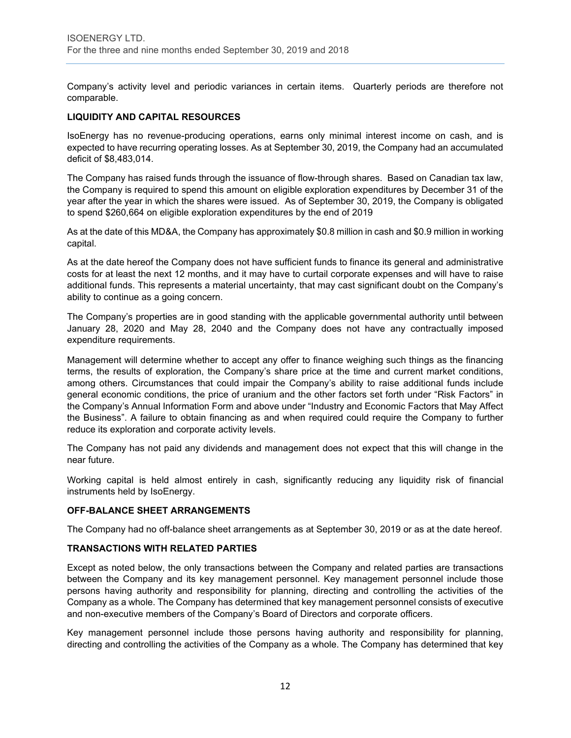Company's activity level and periodic variances in certain items. Quarterly periods are therefore not comparable.

# **LIQUIDITY AND CAPITAL RESOURCES**

IsoEnergy has no revenue-producing operations, earns only minimal interest income on cash, and is expected to have recurring operating losses. As at September 30, 2019, the Company had an accumulated deficit of \$8,483,014.

The Company has raised funds through the issuance of flow-through shares. Based on Canadian tax law, the Company is required to spend this amount on eligible exploration expenditures by December 31 of the year after the year in which the shares were issued. As of September 30, 2019, the Company is obligated to spend \$260,664 on eligible exploration expenditures by the end of 2019

As at the date of this MD&A, the Company has approximately \$0.8 million in cash and \$0.9 million in working capital.

As at the date hereof the Company does not have sufficient funds to finance its general and administrative costs for at least the next 12 months, and it may have to curtail corporate expenses and will have to raise additional funds. This represents a material uncertainty, that may cast significant doubt on the Company's ability to continue as a going concern.

The Company's properties are in good standing with the applicable governmental authority until between January 28, 2020 and May 28, 2040 and the Company does not have any contractually imposed expenditure requirements.

Management will determine whether to accept any offer to finance weighing such things as the financing terms, the results of exploration, the Company's share price at the time and current market conditions, among others. Circumstances that could impair the Company's ability to raise additional funds include general economic conditions, the price of uranium and the other factors set forth under "Risk Factors" in the Company's Annual Information Form and above under "Industry and Economic Factors that May Affect the Business". A failure to obtain financing as and when required could require the Company to further reduce its exploration and corporate activity levels.

The Company has not paid any dividends and management does not expect that this will change in the near future.

Working capital is held almost entirely in cash, significantly reducing any liquidity risk of financial instruments held by IsoEnergy.

#### **OFF-BALANCE SHEET ARRANGEMENTS**

The Company had no off-balance sheet arrangements as at September 30, 2019 or as at the date hereof.

# **TRANSACTIONS WITH RELATED PARTIES**

Except as noted below, the only transactions between the Company and related parties are transactions between the Company and its key management personnel. Key management personnel include those persons having authority and responsibility for planning, directing and controlling the activities of the Company as a whole. The Company has determined that key management personnel consists of executive and non-executive members of the Company's Board of Directors and corporate officers.

Key management personnel include those persons having authority and responsibility for planning, directing and controlling the activities of the Company as a whole. The Company has determined that key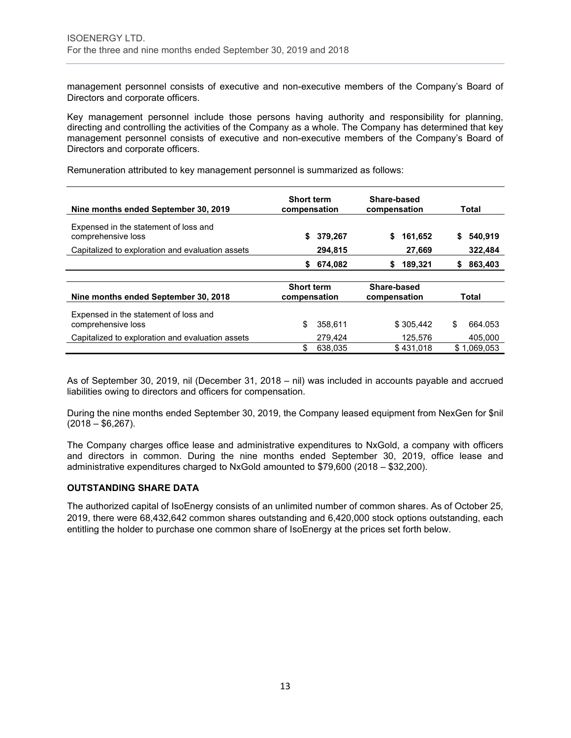management personnel consists of executive and non-executive members of the Company's Board of Directors and corporate officers.

Key management personnel include those persons having authority and responsibility for planning, directing and controlling the activities of the Company as a whole. The Company has determined that key management personnel consists of executive and non-executive members of the Company's Board of Directors and corporate officers.

Remuneration attributed to key management personnel is summarized as follows:

| Nine months ended September 30, 2019                        | <b>Short term</b><br>compensation | Share-based<br>compensation | Total         |
|-------------------------------------------------------------|-----------------------------------|-----------------------------|---------------|
| Expensed in the statement of loss and<br>comprehensive loss | 379,267<br>\$                     | \$<br>161,652               | 540,919<br>\$ |
| Capitalized to exploration and evaluation assets            | 294,815                           | 27,669                      | 322,484       |
|                                                             | 674,082<br>S.                     | 189,321<br>\$               | 863,403<br>S  |
|                                                             |                                   |                             |               |
| Nine months ended September 30, 2018                        | <b>Short term</b><br>compensation | Share-based<br>compensation | Total         |
| Expensed in the statement of loss and<br>comprehensive loss | \$<br>358.611                     | \$305.442                   | \$<br>664.053 |
| Capitalized to exploration and evaluation assets            | 279.424                           | 125.576                     | 405.000       |
|                                                             | \$<br>638.035                     | \$431.018                   | \$1.069.053   |

As of September 30, 2019, nil (December 31, 2018 – nil) was included in accounts payable and accrued liabilities owing to directors and officers for compensation.

During the nine months ended September 30, 2019, the Company leased equipment from NexGen for \$nil  $(2018 - $6,267)$ .

The Company charges office lease and administrative expenditures to NxGold, a company with officers and directors in common. During the nine months ended September 30, 2019, office lease and administrative expenditures charged to NxGold amounted to \$79,600 (2018 – \$32,200).

# **OUTSTANDING SHARE DATA**

The authorized capital of IsoEnergy consists of an unlimited number of common shares. As of October 25, 2019, there were 68,432,642 common shares outstanding and 6,420,000 stock options outstanding, each entitling the holder to purchase one common share of IsoEnergy at the prices set forth below.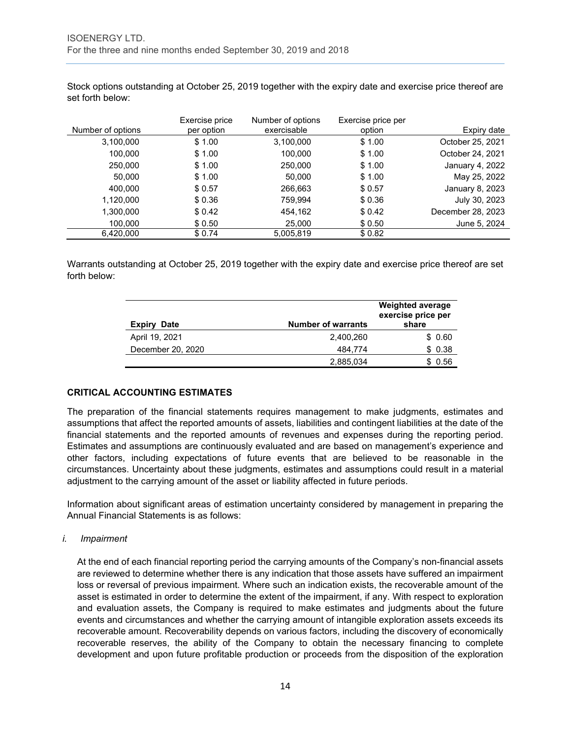Stock options outstanding at October 25, 2019 together with the expiry date and exercise price thereof are set forth below:

|                   | Exercise price | Number of options | Exercise price per |                   |
|-------------------|----------------|-------------------|--------------------|-------------------|
| Number of options | per option     | exercisable       | option             | Expiry date       |
| 3,100,000         | \$1.00         | 3,100,000         | \$1.00             | October 25, 2021  |
| 100,000           | \$1.00         | 100,000           | \$1.00             | October 24, 2021  |
| 250,000           | \$1.00         | 250,000           | \$1.00             | January 4, 2022   |
| 50,000            | \$1.00         | 50.000            | \$1.00             | May 25, 2022      |
| 400.000           | \$0.57         | 266,663           | \$0.57             | January 8, 2023   |
| 1,120,000         | \$0.36         | 759.994           | \$0.36             | July 30, 2023     |
| 1,300,000         | \$0.42         | 454,162           | \$0.42             | December 28, 2023 |
| 100,000           | \$0.50         | 25,000            | \$ 0.50            | June 5, 2024      |
| 6,420,000         | \$0.74         | 5,005,819         | \$0.82             |                   |

Warrants outstanding at October 25, 2019 together with the expiry date and exercise price thereof are set forth below:

| Expiry<br>Date    | <b>Number of warrants</b> | <b>Weighted average</b><br>exercise price per<br>share |
|-------------------|---------------------------|--------------------------------------------------------|
| April 19, 2021    | 2,400,260                 | \$0.60                                                 |
| December 20, 2020 | 484.774                   | \$0.38                                                 |
|                   | 2,885,034                 | 0.56                                                   |

# **CRITICAL ACCOUNTING ESTIMATES**

The preparation of the financial statements requires management to make judgments, estimates and assumptions that affect the reported amounts of assets, liabilities and contingent liabilities at the date of the financial statements and the reported amounts of revenues and expenses during the reporting period. Estimates and assumptions are continuously evaluated and are based on management's experience and other factors, including expectations of future events that are believed to be reasonable in the circumstances. Uncertainty about these judgments, estimates and assumptions could result in a material adjustment to the carrying amount of the asset or liability affected in future periods.

Information about significant areas of estimation uncertainty considered by management in preparing the Annual Financial Statements is as follows:

#### *i. Impairment*

At the end of each financial reporting period the carrying amounts of the Company's non-financial assets are reviewed to determine whether there is any indication that those assets have suffered an impairment loss or reversal of previous impairment. Where such an indication exists, the recoverable amount of the asset is estimated in order to determine the extent of the impairment, if any. With respect to exploration and evaluation assets, the Company is required to make estimates and judgments about the future events and circumstances and whether the carrying amount of intangible exploration assets exceeds its recoverable amount. Recoverability depends on various factors, including the discovery of economically recoverable reserves, the ability of the Company to obtain the necessary financing to complete development and upon future profitable production or proceeds from the disposition of the exploration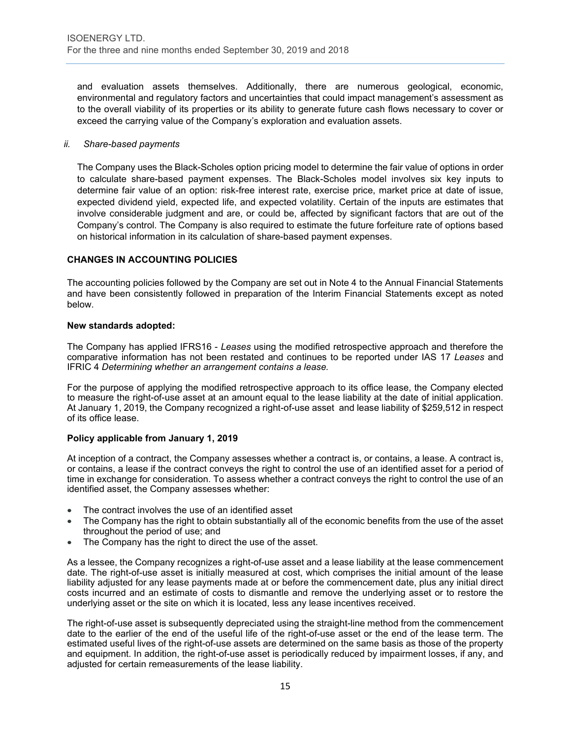and evaluation assets themselves. Additionally, there are numerous geological, economic, environmental and regulatory factors and uncertainties that could impact management's assessment as to the overall viability of its properties or its ability to generate future cash flows necessary to cover or exceed the carrying value of the Company's exploration and evaluation assets.

# *ii. Share-based payments*

The Company uses the Black-Scholes option pricing model to determine the fair value of options in order to calculate share-based payment expenses. The Black-Scholes model involves six key inputs to determine fair value of an option: risk-free interest rate, exercise price, market price at date of issue, expected dividend yield, expected life, and expected volatility. Certain of the inputs are estimates that involve considerable judgment and are, or could be, affected by significant factors that are out of the Company's control. The Company is also required to estimate the future forfeiture rate of options based on historical information in its calculation of share-based payment expenses.

# **CHANGES IN ACCOUNTING POLICIES**

The accounting policies followed by the Company are set out in Note 4 to the Annual Financial Statements and have been consistently followed in preparation of the Interim Financial Statements except as noted below.

# **New standards adopted:**

The Company has applied IFRS16 - *Leases* using the modified retrospective approach and therefore the comparative information has not been restated and continues to be reported under IAS 17 *Leases* and IFRIC 4 *Determining whether an arrangement contains a lease.*

For the purpose of applying the modified retrospective approach to its office lease, the Company elected to measure the right-of-use asset at an amount equal to the lease liability at the date of initial application. At January 1, 2019, the Company recognized a right-of-use asset and lease liability of \$259,512 in respect of its office lease.

# **Policy applicable from January 1, 2019**

At inception of a contract, the Company assesses whether a contract is, or contains, a lease. A contract is, or contains, a lease if the contract conveys the right to control the use of an identified asset for a period of time in exchange for consideration. To assess whether a contract conveys the right to control the use of an identified asset, the Company assesses whether:

- The contract involves the use of an identified asset
- The Company has the right to obtain substantially all of the economic benefits from the use of the asset throughout the period of use; and
- The Company has the right to direct the use of the asset.

As a lessee, the Company recognizes a right-of-use asset and a lease liability at the lease commencement date. The right-of-use asset is initially measured at cost, which comprises the initial amount of the lease liability adjusted for any lease payments made at or before the commencement date, plus any initial direct costs incurred and an estimate of costs to dismantle and remove the underlying asset or to restore the underlying asset or the site on which it is located, less any lease incentives received.

The right-of-use asset is subsequently depreciated using the straight-line method from the commencement date to the earlier of the end of the useful life of the right-of-use asset or the end of the lease term. The estimated useful lives of the right-of-use assets are determined on the same basis as those of the property and equipment. In addition, the right-of-use asset is periodically reduced by impairment losses, if any, and adjusted for certain remeasurements of the lease liability.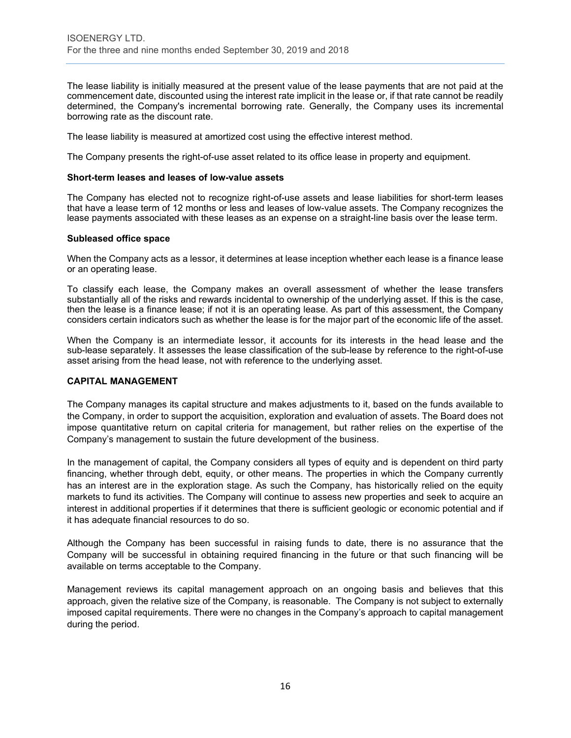The lease liability is initially measured at the present value of the lease payments that are not paid at the commencement date, discounted using the interest rate implicit in the lease or, if that rate cannot be readily determined, the Company's incremental borrowing rate. Generally, the Company uses its incremental borrowing rate as the discount rate.

The lease liability is measured at amortized cost using the effective interest method.

The Company presents the right-of-use asset related to its office lease in property and equipment.

#### **Short-term leases and leases of low-value assets**

The Company has elected not to recognize right-of-use assets and lease liabilities for short-term leases that have a lease term of 12 months or less and leases of low-value assets. The Company recognizes the lease payments associated with these leases as an expense on a straight-line basis over the lease term.

#### **Subleased office space**

When the Company acts as a lessor, it determines at lease inception whether each lease is a finance lease or an operating lease.

To classify each lease, the Company makes an overall assessment of whether the lease transfers substantially all of the risks and rewards incidental to ownership of the underlying asset. If this is the case, then the lease is a finance lease; if not it is an operating lease. As part of this assessment, the Company considers certain indicators such as whether the lease is for the major part of the economic life of the asset.

When the Company is an intermediate lessor, it accounts for its interests in the head lease and the sub-lease separately. It assesses the lease classification of the sub-lease by reference to the right-of-use asset arising from the head lease, not with reference to the underlying asset.

#### **CAPITAL MANAGEMENT**

The Company manages its capital structure and makes adjustments to it, based on the funds available to the Company, in order to support the acquisition, exploration and evaluation of assets. The Board does not impose quantitative return on capital criteria for management, but rather relies on the expertise of the Company's management to sustain the future development of the business.

In the management of capital, the Company considers all types of equity and is dependent on third party financing, whether through debt, equity, or other means. The properties in which the Company currently has an interest are in the exploration stage. As such the Company, has historically relied on the equity markets to fund its activities. The Company will continue to assess new properties and seek to acquire an interest in additional properties if it determines that there is sufficient geologic or economic potential and if it has adequate financial resources to do so.

Although the Company has been successful in raising funds to date, there is no assurance that the Company will be successful in obtaining required financing in the future or that such financing will be available on terms acceptable to the Company.

Management reviews its capital management approach on an ongoing basis and believes that this approach, given the relative size of the Company, is reasonable. The Company is not subject to externally imposed capital requirements. There were no changes in the Company's approach to capital management during the period.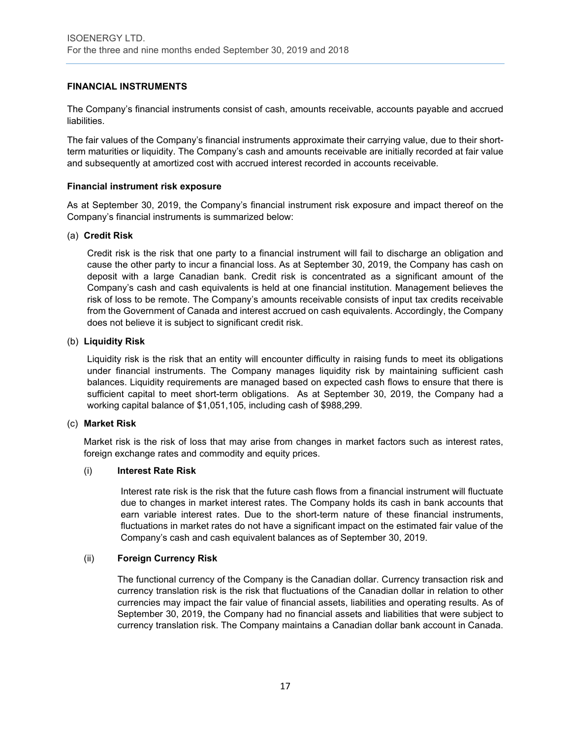#### **FINANCIAL INSTRUMENTS**

The Company's financial instruments consist of cash, amounts receivable, accounts payable and accrued liabilities.

The fair values of the Company's financial instruments approximate their carrying value, due to their shortterm maturities or liquidity. The Company's cash and amounts receivable are initially recorded at fair value and subsequently at amortized cost with accrued interest recorded in accounts receivable.

#### **Financial instrument risk exposure**

As at September 30, 2019, the Company's financial instrument risk exposure and impact thereof on the Company's financial instruments is summarized below:

# (a) **Credit Risk**

Credit risk is the risk that one party to a financial instrument will fail to discharge an obligation and cause the other party to incur a financial loss. As at September 30, 2019, the Company has cash on deposit with a large Canadian bank. Credit risk is concentrated as a significant amount of the Company's cash and cash equivalents is held at one financial institution. Management believes the risk of loss to be remote. The Company's amounts receivable consists of input tax credits receivable from the Government of Canada and interest accrued on cash equivalents. Accordingly, the Company does not believe it is subject to significant credit risk.

# (b) **Liquidity Risk**

Liquidity risk is the risk that an entity will encounter difficulty in raising funds to meet its obligations under financial instruments. The Company manages liquidity risk by maintaining sufficient cash balances. Liquidity requirements are managed based on expected cash flows to ensure that there is sufficient capital to meet short-term obligations. As at September 30, 2019, the Company had a working capital balance of \$1,051,105, including cash of \$988,299.

#### (c) **Market Risk**

Market risk is the risk of loss that may arise from changes in market factors such as interest rates, foreign exchange rates and commodity and equity prices.

#### (i) **Interest Rate Risk**

Interest rate risk is the risk that the future cash flows from a financial instrument will fluctuate due to changes in market interest rates. The Company holds its cash in bank accounts that earn variable interest rates. Due to the short-term nature of these financial instruments, fluctuations in market rates do not have a significant impact on the estimated fair value of the Company's cash and cash equivalent balances as of September 30, 2019.

#### (ii) **Foreign Currency Risk**

The functional currency of the Company is the Canadian dollar. Currency transaction risk and currency translation risk is the risk that fluctuations of the Canadian dollar in relation to other currencies may impact the fair value of financial assets, liabilities and operating results. As of September 30, 2019, the Company had no financial assets and liabilities that were subject to currency translation risk. The Company maintains a Canadian dollar bank account in Canada.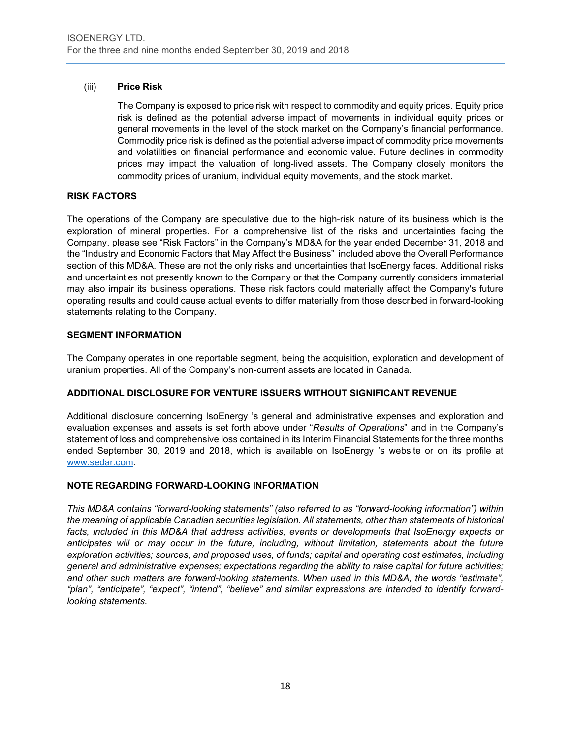# (iii) **Price Risk**

The Company is exposed to price risk with respect to commodity and equity prices. Equity price risk is defined as the potential adverse impact of movements in individual equity prices or general movements in the level of the stock market on the Company's financial performance. Commodity price risk is defined as the potential adverse impact of commodity price movements and volatilities on financial performance and economic value. Future declines in commodity prices may impact the valuation of long-lived assets. The Company closely monitors the commodity prices of uranium, individual equity movements, and the stock market.

# **RISK FACTORS**

The operations of the Company are speculative due to the high-risk nature of its business which is the exploration of mineral properties. For a comprehensive list of the risks and uncertainties facing the Company, please see "Risk Factors" in the Company's MD&A for the year ended December 31, 2018 and the "Industry and Economic Factors that May Affect the Business" included above the Overall Performance section of this MD&A. These are not the only risks and uncertainties that IsoEnergy faces. Additional risks and uncertainties not presently known to the Company or that the Company currently considers immaterial may also impair its business operations. These risk factors could materially affect the Company's future operating results and could cause actual events to differ materially from those described in forward-looking statements relating to the Company.

# **SEGMENT INFORMATION**

The Company operates in one reportable segment, being the acquisition, exploration and development of uranium properties. All of the Company's non-current assets are located in Canada.

# **ADDITIONAL DISCLOSURE FOR VENTURE ISSUERS WITHOUT SIGNIFICANT REVENUE**

Additional disclosure concerning IsoEnergy 's general and administrative expenses and exploration and evaluation expenses and assets is set forth above under "*Results of Operations*" and in the Company's statement of loss and comprehensive loss contained in its Interim Financial Statements for the three months ended September 30, 2019 and 2018, which is available on IsoEnergy 's website or on its profile at [www.sedar.com.](http://www.sedar.com/)

#### **NOTE REGARDING FORWARD-LOOKING INFORMATION**

*This MD&A contains "forward-looking statements" (also referred to as "forward-looking information") within the meaning of applicable Canadian securities legislation. All statements, other than statements of historical facts, included in this MD&A that address activities, events or developments that IsoEnergy expects or anticipates will or may occur in the future, including, without limitation, statements about the future exploration activities; sources, and proposed uses, of funds; capital and operating cost estimates, including general and administrative expenses; expectations regarding the ability to raise capital for future activities; and other such matters are forward-looking statements. When used in this MD&A, the words "estimate", "plan", "anticipate", "expect", "intend", "believe" and similar expressions are intended to identify forwardlooking statements.*